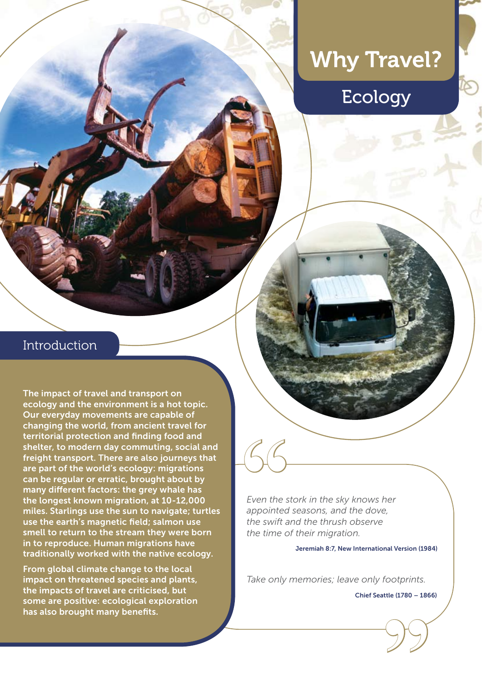# Why Travel?

# Ecology

## Introduction

The impact of travel and transport on ecology and the environment is a hot topic. Our everyday movements are capable of changing the world, from ancient travel for territorial protection and finding food and shelter, to modern day commuting, social and freight transport. There are also journeys that are part of the world's ecology: migrations can be regular or erratic, brought about by many different factors: the grey whale has the longest known migration, at 10-12,000 miles. Starlings use the sun to navigate; turtles use the earth's magnetic field; salmon use smell to return to the stream they were born in to reproduce. Human migrations have traditionally worked with the native ecology.

From global climate change to the local impact on threatened species and plants, the impacts of travel are criticised, but some are positive: ecological exploration has also brought many benefits.

*Even the stork in the sky knows her appointed seasons, and the dove, the swift and the thrush observe the time of their migration.*  Even the s<br>Even the s<br>appointed<br>the swift a

#### Jeremiah 8:7, New International Version (1984)

*Take only memories; leave only footprints.*

Chief Seattle (1780 – 1866)

**"**